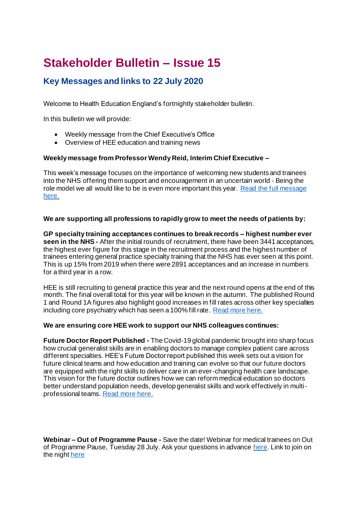# **Stakeholder Bulletin – Issue 15**

### **Key Messages and links to 22 July 2020**

Welcome to Health Education England's fortnightly stakeholder bulletin.

In this bulletin we will provide:

- Weekly message from the Chief Executive's Office
- Overview of HEE education and training news

### **Weekly message from Professor Wendy Reid, Interim Chief Executive –**

This week's message focuses on the importance of welcoming new students and trainees into the NHS offering them support and encouragement in an uncertain world - Being the role model we all would like to be is even more important this year. [Read the full message](https://www.hee.nhs.uk/news-blogs-events/blogs/we-are-proud-incredibly-grateful-contribution-has-been-made-doctors-training-healthcare-students)  [here.](https://www.hee.nhs.uk/news-blogs-events/blogs/we-are-proud-incredibly-grateful-contribution-has-been-made-doctors-training-healthcare-students)

### **We are supporting all professions to rapidly grow to meet the needs of patients by:**

**GP specialty training acceptances continues to break records – highest number ever seen in the NHS -** After the initial rounds of recruitment, there have been 3441 acceptances, the highest ever figure for this stage in the recruitment process and the highest number of trainees entering general practice specialty training that the NHS has ever seen at this point. This is up 15% from 2019 when there were 2891 acceptances and an increase in numbers for a third year in a row.

HEE is still recruiting to general practice this year and the next round opens at the end of this month. The final overall total for this year will be known in the autumn. The published Round 1 and Round 1A figures also highlight good increases in fill rates across other key specialties including core psychiatry which has seen a 100% fill rate. [Read more here.](https://www.hee.nhs.uk/our-work/medical-recruitment/specialty-recruitment-round-1-acceptance-fill-rate)

### **We are ensuring core HEE work to support our NHS colleagues continues:**

**Future Doctor Report Published -** The Covid-19 global pandemic brought into sharp focus how crucial generalist skills are in enabling doctors to manage complex patient care across different specialties. HEE's Future Doctor report published this week sets out a vision for future clinical teams and how education and training can evolve so that our future doctors are equipped with the right skills to deliver care in an ever-changing health care landscape. This vision for the future doctor outlines how we can reform medical education so doctors better understand population needs, develop generalist skills and work effectively in multiprofessional teams. [Read more here.](https://www.hee.nhs.uk/news-blogs-events/news/doctor-future-generalist)

**Webinar – Out of Programme Pause -** Save the date! Webinar for medical trainees on Out of Programme Pause, Tuesday 28 July. Ask your questions in advance [here.](https://forms.office.com/Pages/ResponsePage.aspx?id=K5Gn_5ewMUGcD9DoB1Wyq1QmNXEs1SRMtqygXK0Hk1xURVZXSktaT0o4TE5OQ0UwVU5XTFIxOFE5Ri4u) Link to join on the nigh[t here](https://teams.microsoft.com/l/meetup-join/19%3ameeting_NzYyNWQ3ZDEtYTIzOS00ZTdlLTg3MGUtNWM5MDdhZGYwZjJj%40thread.v2/0?context=%7b%22Tid%22%3a%22ffa7912b-b097-4131-9c0f-d0e80755b2ab%22%2c%22Oid%22%3a%2219186147-cd25-4ae7-9773-55fc48dd6316%22%2c%22IsBroadcastMeeting%22%3atrue%7d)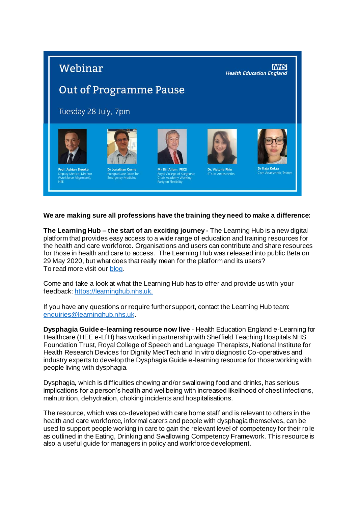## Webinar

**NHS Health Education England** 

## **Out of Programme Pause**

Tuesday 28 July, 7pm







Academy Work<br>on Flexibility



### **We are making sure all professions have the training they need to make a difference:**

**The Learning Hub – the start of an exciting journey -** The Learning Hub is a new digital platform that provides easy access to a wide range of education and training resources for the health and care workforce. Organisations and users can contribute and share resources for those in health and care to access. The Learning Hub was released into public Beta on 29 May 2020, but what does that really mean for the platform and its users? To read more visit our [blog.](https://telblog.hee.nhs.uk/)

Come and take a look at what the Learning Hub has to offer and provide us with your feedback[: https://learninghub.nhs.uk.](https://learninghub.nhs.uk./)

If you have any questions or require further support, contact the Learning Hub team: [enquiries@learninghub.nhs.uk](mailto:enquiries@learninghub.nhs.uk).

**Dysphagia Guide e-learning resource now live** - Health Education England e-Learning for Healthcare (HEE e-LfH) has worked in partnership with Sheffield Teaching Hospitals NHS Foundation Trust, Royal College of Speech and Language Therapists, National Institute for Health Research Devices for Dignity MedTech and In vitro diagnostic Co-operatives and industry experts to develop the Dysphagia Guide e-learning resource for those working with people living with dysphagia.

Dysphagia, which is difficulties chewing and/or swallowing food and drinks, has serious implications for a person's health and wellbeing with increased likelihood of chest infections, malnutrition, dehydration, choking incidents and hospitalisations.

The resource, which was co-developed with care home staff and is relevant to others in the health and care workforce, informal carers and people with dysphagia themselves, can be used to support people working in care to gain the relevant level of competency for their ro le as outlined in the Eating, Drinking and Swallowing Competency Framework. This resource is also a useful guide for managers in policy and workforce development.